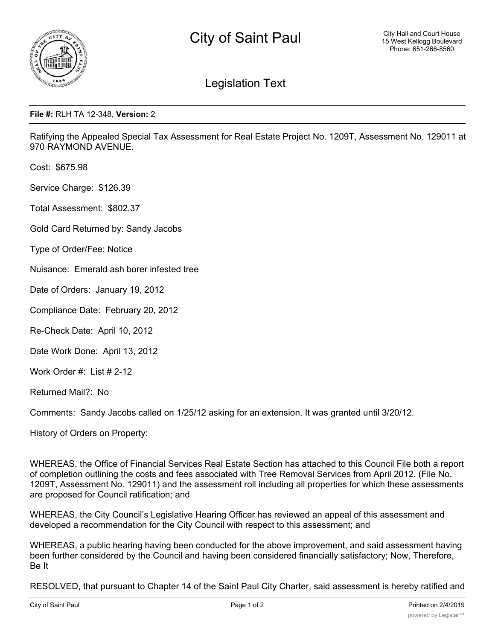

## Legislation Text

## **File #:** RLH TA 12-348, **Version:** 2

Ratifying the Appealed Special Tax Assessment for Real Estate Project No. 1209T, Assessment No. 129011 at 970 RAYMOND AVENUE.

Cost: \$675.98

Service Charge: \$126.39

Total Assessment: \$802.37

Gold Card Returned by: Sandy Jacobs

Type of Order/Fee: Notice

Nuisance: Emerald ash borer infested tree

Date of Orders: January 19, 2012

Compliance Date: February 20, 2012

Re-Check Date: April 10, 2012

Date Work Done: April 13, 2012

Work Order #: List # 2-12

Returned Mail?: No

Comments: Sandy Jacobs called on 1/25/12 asking for an extension. It was granted until 3/20/12.

History of Orders on Property:

WHEREAS, the Office of Financial Services Real Estate Section has attached to this Council File both a report of completion outlining the costs and fees associated with Tree Removal Services from April 2012. (File No. 1209T, Assessment No. 129011) and the assessment roll including all properties for which these assessments are proposed for Council ratification; and

WHEREAS, the City Council's Legislative Hearing Officer has reviewed an appeal of this assessment and developed a recommendation for the City Council with respect to this assessment; and

WHEREAS, a public hearing having been conducted for the above improvement, and said assessment having been further considered by the Council and having been considered financially satisfactory; Now, Therefore, Be It

RESOLVED, that pursuant to Chapter 14 of the Saint Paul City Charter, said assessment is hereby ratified and